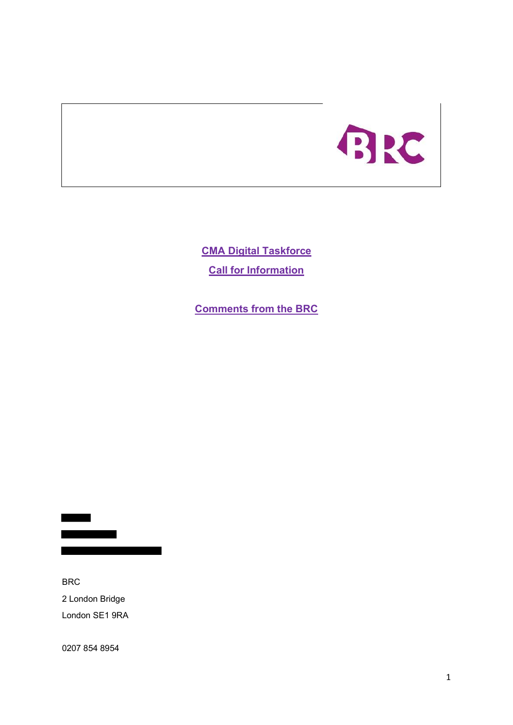

**CMA Digital Taskforce Call for Information**

**Comments from the BRC**

BRC 2 London Bridge London SE1 9RA

0207 854 8954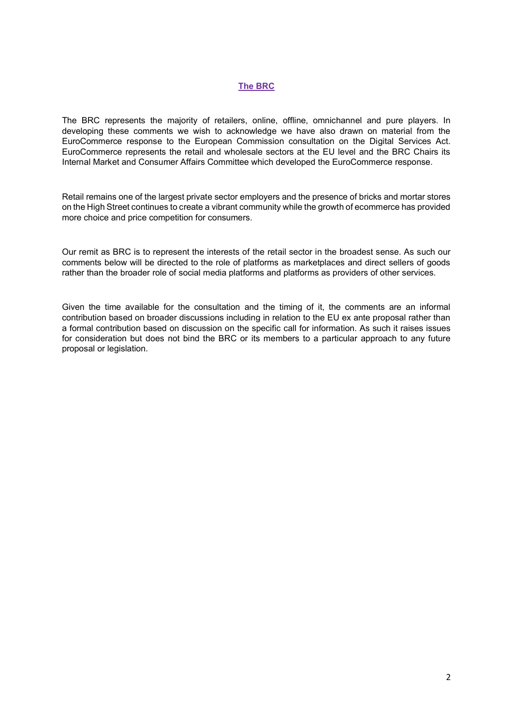#### **The BRC**

The BRC represents the majority of retailers, online, offline, omnichannel and pure players. In developing these comments we wish to acknowledge we have also drawn on material from the EuroCommerce response to the European Commission consultation on the Digital Services Act. EuroCommerce represents the retail and wholesale sectors at the EU level and the BRC Chairs its Internal Market and Consumer Affairs Committee which developed the EuroCommerce response.

Retail remains one of the largest private sector employers and the presence of bricks and mortar stores on the High Street continues to create a vibrant community while the growth of ecommerce has provided more choice and price competition for consumers.

Our remit as BRC is to represent the interests of the retail sector in the broadest sense. As such our comments below will be directed to the role of platforms as marketplaces and direct sellers of goods rather than the broader role of social media platforms and platforms as providers of other services.

Given the time available for the consultation and the timing of it, the comments are an informal contribution based on broader discussions including in relation to the EU ex ante proposal rather than a formal contribution based on discussion on the specific call for information. As such it raises issues for consideration but does not bind the BRC or its members to a particular approach to any future proposal or legislation.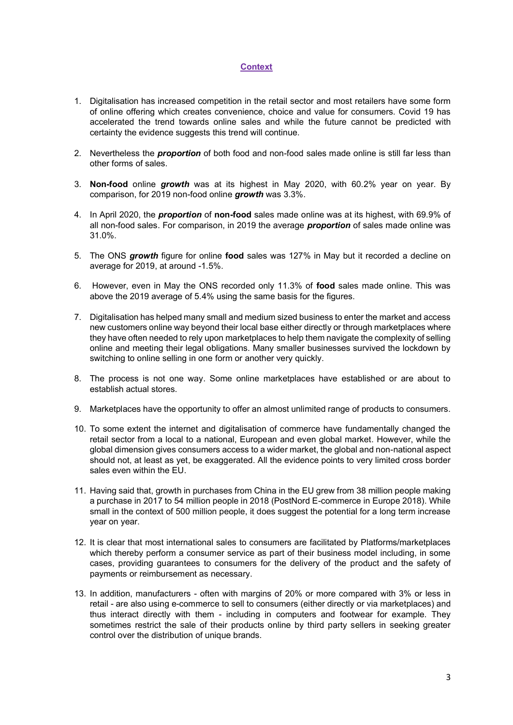# **Context**

- 1. Digitalisation has increased competition in the retail sector and most retailers have some form of online offering which creates convenience, choice and value for consumers. Covid 19 has accelerated the trend towards online sales and while the future cannot be predicted with certainty the evidence suggests this trend will continue.
- 2. Nevertheless the *proportion* of both food and non-food sales made online is still far less than other forms of sales.
- 3. **Non-food** online *growth* was at its highest in May 2020, with 60.2% year on year. By comparison, for 2019 non-food online *growth* was 3.3%.
- 4. In April 2020, the *proportion* of **non-food** sales made online was at its highest, with 69.9% of all non-food sales. For comparison, in 2019 the average *proportion* of sales made online was 31.0%.
- 5. The ONS *growth* figure for online **food** sales was 127% in May but it recorded a decline on average for 2019, at around -1.5%.
- 6. However, even in May the ONS recorded only 11.3% of **food** sales made online. This was above the 2019 average of 5.4% using the same basis for the figures.
- 7. Digitalisation has helped many small and medium sized business to enter the market and access new customers online way beyond their local base either directly or through marketplaces where they have often needed to rely upon marketplaces to help them navigate the complexity of selling online and meeting their legal obligations. Many smaller businesses survived the lockdown by switching to online selling in one form or another very quickly.
- 8. The process is not one way. Some online marketplaces have established or are about to establish actual stores.
- 9. Marketplaces have the opportunity to offer an almost unlimited range of products to consumers.
- 10. To some extent the internet and digitalisation of commerce have fundamentally changed the retail sector from a local to a national, European and even global market. However, while the global dimension gives consumers access to a wider market, the global and non-national aspect should not, at least as yet, be exaggerated. All the evidence points to very limited cross border sales even within the EU.
- 11. Having said that, growth in purchases from China in the EU grew from 38 million people making a purchase in 2017 to 54 million people in 2018 (PostNord E-commerce in Europe 2018). While small in the context of 500 million people, it does suggest the potential for a long term increase year on year.
- 12. It is clear that most international sales to consumers are facilitated by Platforms/marketplaces which thereby perform a consumer service as part of their business model including, in some cases, providing guarantees to consumers for the delivery of the product and the safety of payments or reimbursement as necessary.
- 13. In addition, manufacturers often with margins of 20% or more compared with 3% or less in retail - are also using e-commerce to sell to consumers (either directly or via marketplaces) and thus interact directly with them - including in computers and footwear for example. They sometimes restrict the sale of their products online by third party sellers in seeking greater control over the distribution of unique brands.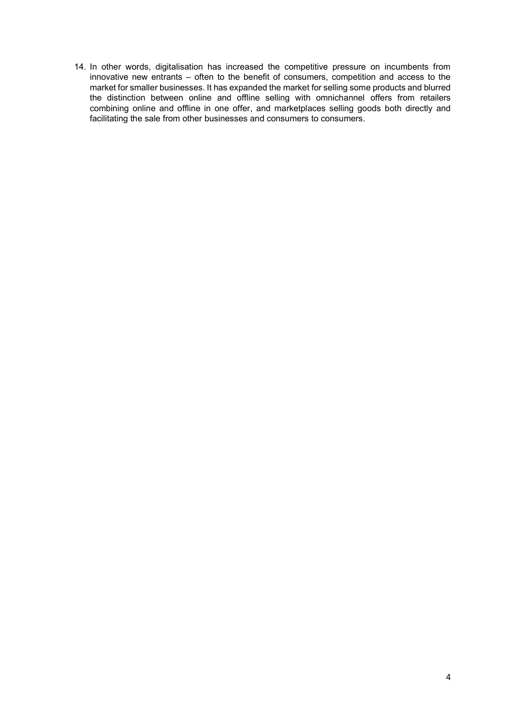14. In other words, digitalisation has increased the competitive pressure on incumbents from innovative new entrants – often to the benefit of consumers, competition and access to the market for smaller businesses. It has expanded the market for selling some products and blurred the distinction between online and offline selling with omnichannel offers from retailers combining online and offline in one offer, and marketplaces selling goods both directly and facilitating the sale from other businesses and consumers to consumers.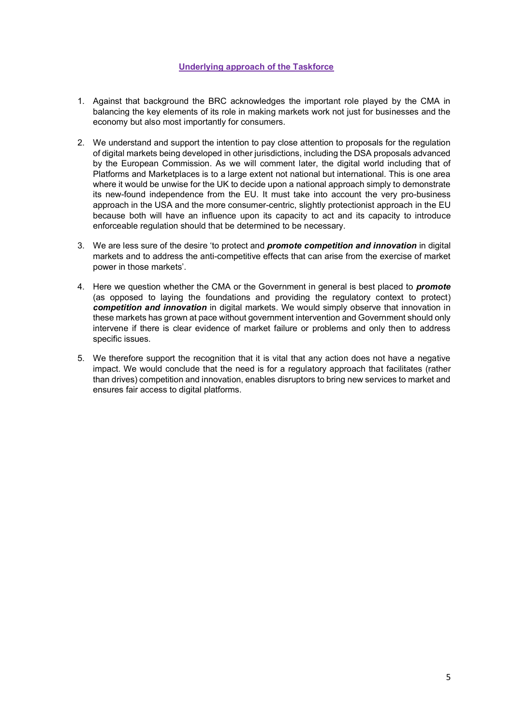### **Underlying approach of the Taskforce**

- 1. Against that background the BRC acknowledges the important role played by the CMA in balancing the key elements of its role in making markets work not just for businesses and the economy but also most importantly for consumers.
- 2. We understand and support the intention to pay close attention to proposals for the regulation of digital markets being developed in other jurisdictions, including the DSA proposals advanced by the European Commission. As we will comment later, the digital world including that of Platforms and Marketplaces is to a large extent not national but international. This is one area where it would be unwise for the UK to decide upon a national approach simply to demonstrate its new-found independence from the EU. It must take into account the very pro-business approach in the USA and the more consumer-centric, slightly protectionist approach in the EU because both will have an influence upon its capacity to act and its capacity to introduce enforceable regulation should that be determined to be necessary.
- 3. We are less sure of the desire 'to protect and *promote competition and innovation* in digital markets and to address the anti-competitive effects that can arise from the exercise of market power in those markets'.
- 4. Here we question whether the CMA or the Government in general is best placed to *promote*  (as opposed to laying the foundations and providing the regulatory context to protect) *competition and innovation* in digital markets. We would simply observe that innovation in these markets has grown at pace without government intervention and Government should only intervene if there is clear evidence of market failure or problems and only then to address specific issues.
- 5. We therefore support the recognition that it is vital that any action does not have a negative impact. We would conclude that the need is for a regulatory approach that facilitates (rather than drives) competition and innovation, enables disruptors to bring new services to market and ensures fair access to digital platforms.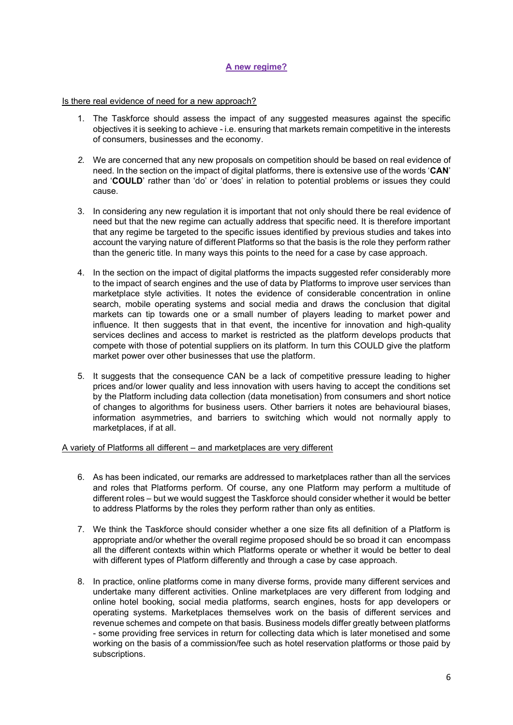# **A new regime?**

### Is there real evidence of need for a new approach?

- 1. The Taskforce should assess the impact of any suggested measures against the specific objectives it is seeking to achieve - i.e. ensuring that markets remain competitive in the interests of consumers, businesses and the economy.
- *2.* We are concerned that any new proposals on competition should be based on real evidence of need. In the section on the impact of digital platforms, there is extensive use of the words '**CAN**' and '**COULD**' rather than 'do' or 'does' in relation to potential problems or issues they could cause.
- 3. In considering any new regulation it is important that not only should there be real evidence of need but that the new regime can actually address that specific need. It is therefore important that any regime be targeted to the specific issues identified by previous studies and takes into account the varying nature of different Platforms so that the basis is the role they perform rather than the generic title. In many ways this points to the need for a case by case approach.
- 4. In the section on the impact of digital platforms the impacts suggested refer considerably more to the impact of search engines and the use of data by Platforms to improve user services than marketplace style activities. It notes the evidence of considerable concentration in online search, mobile operating systems and social media and draws the conclusion that digital markets can tip towards one or a small number of players leading to market power and influence. It then suggests that in that event, the incentive for innovation and high-quality services declines and access to market is restricted as the platform develops products that compete with those of potential suppliers on its platform. In turn this COULD give the platform market power over other businesses that use the platform.
- 5. It suggests that the consequence CAN be a lack of competitive pressure leading to higher prices and/or lower quality and less innovation with users having to accept the conditions set by the Platform including data collection (data monetisation) from consumers and short notice of changes to algorithms for business users. Other barriers it notes are behavioural biases, information asymmetries, and barriers to switching which would not normally apply to marketplaces, if at all.

#### A variety of Platforms all different – and marketplaces are very different

- 6. As has been indicated, our remarks are addressed to marketplaces rather than all the services and roles that Platforms perform. Of course, any one Platform may perform a multitude of different roles – but we would suggest the Taskforce should consider whether it would be better to address Platforms by the roles they perform rather than only as entities.
- 7. We think the Taskforce should consider whether a one size fits all definition of a Platform is appropriate and/or whether the overall regime proposed should be so broad it can encompass all the different contexts within which Platforms operate or whether it would be better to deal with different types of Platform differently and through a case by case approach.
- 8. In practice, online platforms come in many diverse forms, provide many different services and undertake many different activities. Online marketplaces are very different from lodging and online hotel booking, social media platforms, search engines, hosts for app developers or operating systems. Marketplaces themselves work on the basis of different services and revenue schemes and compete on that basis. Business models differ greatly between platforms - some providing free services in return for collecting data which is later monetised and some working on the basis of a commission/fee such as hotel reservation platforms or those paid by subscriptions.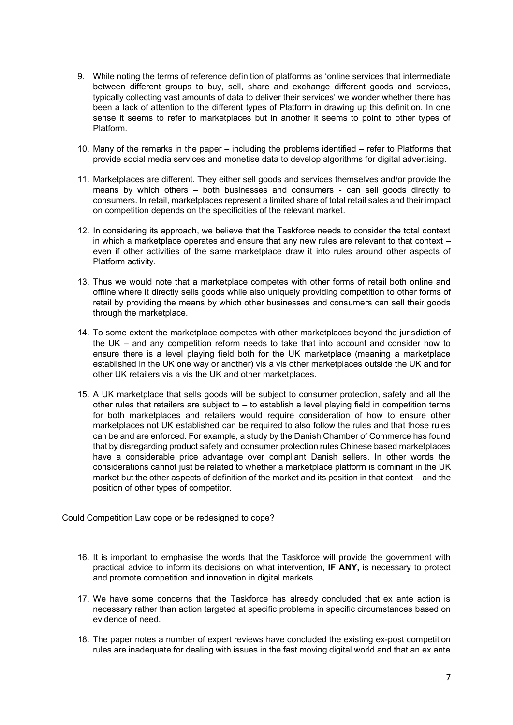- 9. While noting the terms of reference definition of platforms as 'online services that intermediate between different groups to buy, sell, share and exchange different goods and services, typically collecting vast amounts of data to deliver their services' we wonder whether there has been a lack of attention to the different types of Platform in drawing up this definition. In one sense it seems to refer to marketplaces but in another it seems to point to other types of Platform.
- 10. Many of the remarks in the paper including the problems identified refer to Platforms that provide social media services and monetise data to develop algorithms for digital advertising.
- 11. Marketplaces are different. They either sell goods and services themselves and/or provide the means by which others – both businesses and consumers - can sell goods directly to consumers. In retail, marketplaces represent a limited share of total retail sales and their impact on competition depends on the specificities of the relevant market.
- 12. In considering its approach, we believe that the Taskforce needs to consider the total context in which a marketplace operates and ensure that any new rules are relevant to that context – even if other activities of the same marketplace draw it into rules around other aspects of Platform activity.
- 13. Thus we would note that a marketplace competes with other forms of retail both online and offline where it directly sells goods while also uniquely providing competition to other forms of retail by providing the means by which other businesses and consumers can sell their goods through the marketplace.
- 14. To some extent the marketplace competes with other marketplaces beyond the jurisdiction of the UK – and any competition reform needs to take that into account and consider how to ensure there is a level playing field both for the UK marketplace (meaning a marketplace established in the UK one way or another) vis a vis other marketplaces outside the UK and for other UK retailers vis a vis the UK and other marketplaces.
- 15. A UK marketplace that sells goods will be subject to consumer protection, safety and all the other rules that retailers are subject to – to establish a level playing field in competition terms for both marketplaces and retailers would require consideration of how to ensure other marketplaces not UK established can be required to also follow the rules and that those rules can be and are enforced. For example, a study by the Danish Chamber of Commerce has found that by disregarding product safety and consumer protection rules Chinese based marketplaces have a considerable price advantage over compliant Danish sellers. In other words the considerations cannot just be related to whether a marketplace platform is dominant in the UK market but the other aspects of definition of the market and its position in that context – and the position of other types of competitor.

### Could Competition Law cope or be redesigned to cope?

- 16. It is important to emphasise the words that the Taskforce will provide the government with practical advice to inform its decisions on what intervention, **IF ANY,** is necessary to protect and promote competition and innovation in digital markets.
- 17. We have some concerns that the Taskforce has already concluded that ex ante action is necessary rather than action targeted at specific problems in specific circumstances based on evidence of need.
- 18. The paper notes a number of expert reviews have concluded the existing ex-post competition rules are inadequate for dealing with issues in the fast moving digital world and that an ex ante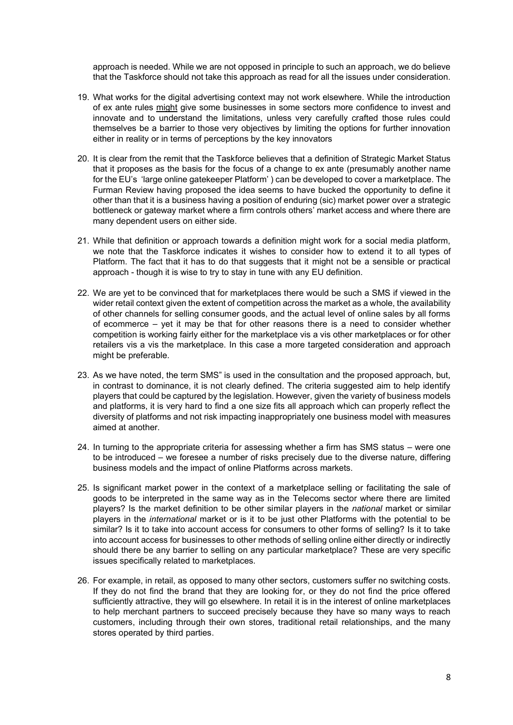approach is needed. While we are not opposed in principle to such an approach, we do believe that the Taskforce should not take this approach as read for all the issues under consideration.

- 19. What works for the digital advertising context may not work elsewhere. While the introduction of ex ante rules might give some businesses in some sectors more confidence to invest and innovate and to understand the limitations, unless very carefully crafted those rules could themselves be a barrier to those very objectives by limiting the options for further innovation either in reality or in terms of perceptions by the key innovators
- 20. It is clear from the remit that the Taskforce believes that a definition of Strategic Market Status that it proposes as the basis for the focus of a change to ex ante (presumably another name for the EU's 'large online gatekeeper Platform' ) can be developed to cover a marketplace. The Furman Review having proposed the idea seems to have bucked the opportunity to define it other than that it is a business having a position of enduring (sic) market power over a strategic bottleneck or gateway market where a firm controls others' market access and where there are many dependent users on either side.
- 21. While that definition or approach towards a definition might work for a social media platform, we note that the Taskforce indicates it wishes to consider how to extend it to all types of Platform. The fact that it has to do that suggests that it might not be a sensible or practical approach - though it is wise to try to stay in tune with any EU definition.
- 22. We are yet to be convinced that for marketplaces there would be such a SMS if viewed in the wider retail context given the extent of competition across the market as a whole, the availability of other channels for selling consumer goods, and the actual level of online sales by all forms of ecommerce – yet it may be that for other reasons there is a need to consider whether competition is working fairly either for the marketplace vis a vis other marketplaces or for other retailers vis a vis the marketplace. In this case a more targeted consideration and approach might be preferable.
- 23. As we have noted, the term SMS" is used in the consultation and the proposed approach, but, in contrast to dominance, it is not clearly defined. The criteria suggested aim to help identify players that could be captured by the legislation. However, given the variety of business models and platforms, it is very hard to find a one size fits all approach which can properly reflect the diversity of platforms and not risk impacting inappropriately one business model with measures aimed at another.
- 24. In turning to the appropriate criteria for assessing whether a firm has SMS status were one to be introduced – we foresee a number of risks precisely due to the diverse nature, differing business models and the impact of online Platforms across markets.
- 25. Is significant market power in the context of a marketplace selling or facilitating the sale of goods to be interpreted in the same way as in the Telecoms sector where there are limited players? Is the market definition to be other similar players in the *national* market or similar players in the *international* market or is it to be just other Platforms with the potential to be similar? Is it to take into account access for consumers to other forms of selling? Is it to take into account access for businesses to other methods of selling online either directly or indirectly should there be any barrier to selling on any particular marketplace? These are very specific issues specifically related to marketplaces.
- 26. For example, in retail, as opposed to many other sectors, customers suffer no switching costs. If they do not find the brand that they are looking for, or they do not find the price offered sufficiently attractive, they will go elsewhere. In retail it is in the interest of online marketplaces to help merchant partners to succeed precisely because they have so many ways to reach customers, including through their own stores, traditional retail relationships, and the many stores operated by third parties.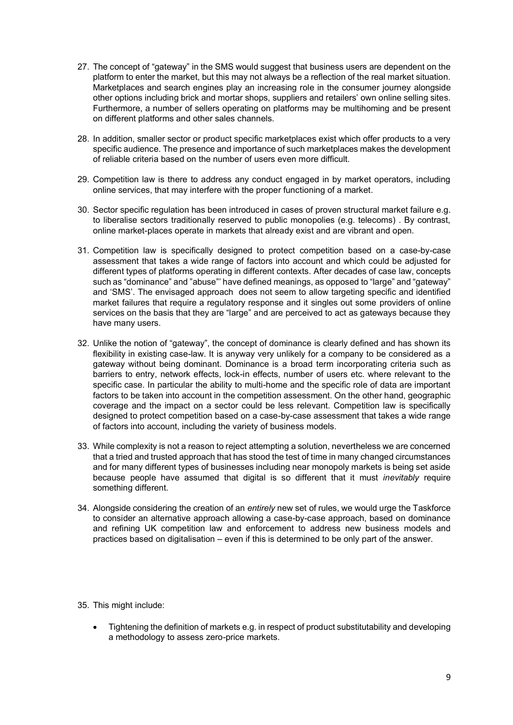- 27. The concept of "gateway" in the SMS would suggest that business users are dependent on the platform to enter the market, but this may not always be a reflection of the real market situation. Marketplaces and search engines play an increasing role in the consumer journey alongside other options including brick and mortar shops, suppliers and retailers' own online selling sites. Furthermore, a number of sellers operating on platforms may be multihoming and be present on different platforms and other sales channels.
- 28. In addition, smaller sector or product specific marketplaces exist which offer products to a very specific audience. The presence and importance of such marketplaces makes the development of reliable criteria based on the number of users even more difficult.
- 29. Competition law is there to address any conduct engaged in by market operators, including online services, that may interfere with the proper functioning of a market.
- 30. Sector specific regulation has been introduced in cases of proven structural market failure e.g. to liberalise sectors traditionally reserved to public monopolies (e.g. telecoms) . By contrast, online market-places operate in markets that already exist and are vibrant and open.
- 31. Competition law is specifically designed to protect competition based on a case-by-case assessment that takes a wide range of factors into account and which could be adjusted for different types of platforms operating in different contexts. After decades of case law, concepts such as "dominance" and "abuse"' have defined meanings, as opposed to "large" and "gateway" and 'SMS'. The envisaged approach does not seem to allow targeting specific and identified market failures that require a regulatory response and it singles out some providers of online services on the basis that they are "large" and are perceived to act as gateways because they have many users.
- 32. Unlike the notion of "gateway", the concept of dominance is clearly defined and has shown its flexibility in existing case-law. It is anyway very unlikely for a company to be considered as a gateway without being dominant. Dominance is a broad term incorporating criteria such as barriers to entry, network effects, lock-in effects, number of users etc. where relevant to the specific case. In particular the ability to multi-home and the specific role of data are important factors to be taken into account in the competition assessment. On the other hand, geographic coverage and the impact on a sector could be less relevant. Competition law is specifically designed to protect competition based on a case-by-case assessment that takes a wide range of factors into account, including the variety of business models.
- 33. While complexity is not a reason to reject attempting a solution, nevertheless we are concerned that a tried and trusted approach that has stood the test of time in many changed circumstances and for many different types of businesses including near monopoly markets is being set aside because people have assumed that digital is so different that it must *inevitably* require something different.
- 34. Alongside considering the creation of an *entirely* new set of rules, we would urge the Taskforce to consider an alternative approach allowing a case-by-case approach, based on dominance and refining UK competition law and enforcement to address new business models and practices based on digitalisation – even if this is determined to be only part of the answer.

35. This might include:

• Tightening the definition of markets e.g. in respect of product substitutability and developing a methodology to assess zero-price markets.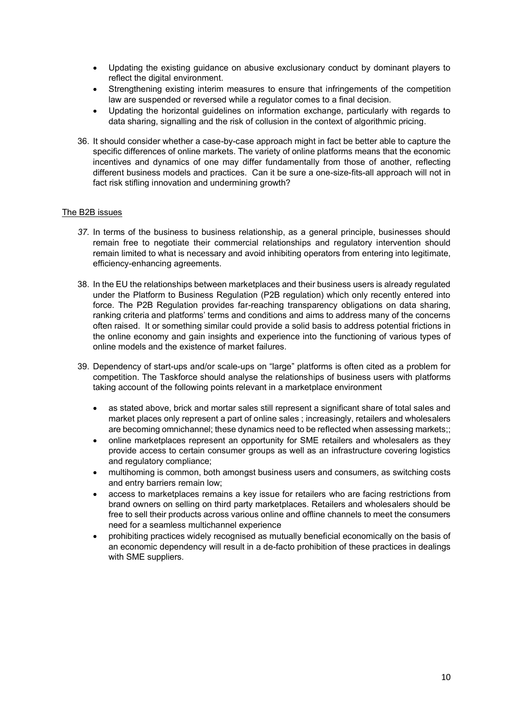- Updating the existing guidance on abusive exclusionary conduct by dominant players to reflect the digital environment.
- Strengthening existing interim measures to ensure that infringements of the competition law are suspended or reversed while a regulator comes to a final decision.
- Updating the horizontal guidelines on information exchange, particularly with regards to data sharing, signalling and the risk of collusion in the context of algorithmic pricing.
- 36. It should consider whether a case-by-case approach might in fact be better able to capture the specific differences of online markets. The variety of online platforms means that the economic incentives and dynamics of one may differ fundamentally from those of another, reflecting different business models and practices. Can it be sure a one-size-fits-all approach will not in fact risk stifling innovation and undermining growth?

#### The B2B issues

- *37.* In terms of the business to business relationship, as a general principle, businesses should remain free to negotiate their commercial relationships and regulatory intervention should remain limited to what is necessary and avoid inhibiting operators from entering into legitimate, efficiency-enhancing agreements.
- 38. In the EU the relationships between marketplaces and their business users is already regulated under the Platform to Business Regulation (P2B regulation) which only recently entered into force. The P2B Regulation provides far-reaching transparency obligations on data sharing, ranking criteria and platforms' terms and conditions and aims to address many of the concerns often raised. It or something similar could provide a solid basis to address potential frictions in the online economy and gain insights and experience into the functioning of various types of online models and the existence of market failures.
- 39. Dependency of start-ups and/or scale-ups on "large" platforms is often cited as a problem for competition. The Taskforce should analyse the relationships of business users with platforms taking account of the following points relevant in a marketplace environment
	- as stated above, brick and mortar sales still represent a significant share of total sales and market places only represent a part of online sales ; increasingly, retailers and wholesalers are becoming omnichannel; these dynamics need to be reflected when assessing markets;;
	- online marketplaces represent an opportunity for SME retailers and wholesalers as they provide access to certain consumer groups as well as an infrastructure covering logistics and regulatory compliance;
	- multihoming is common, both amongst business users and consumers, as switching costs and entry barriers remain low;
	- access to marketplaces remains a key issue for retailers who are facing restrictions from brand owners on selling on third party marketplaces. Retailers and wholesalers should be free to sell their products across various online and offline channels to meet the consumers need for a seamless multichannel experience
	- prohibiting practices widely recognised as mutually beneficial economically on the basis of an economic dependency will result in a de-facto prohibition of these practices in dealings with SME suppliers.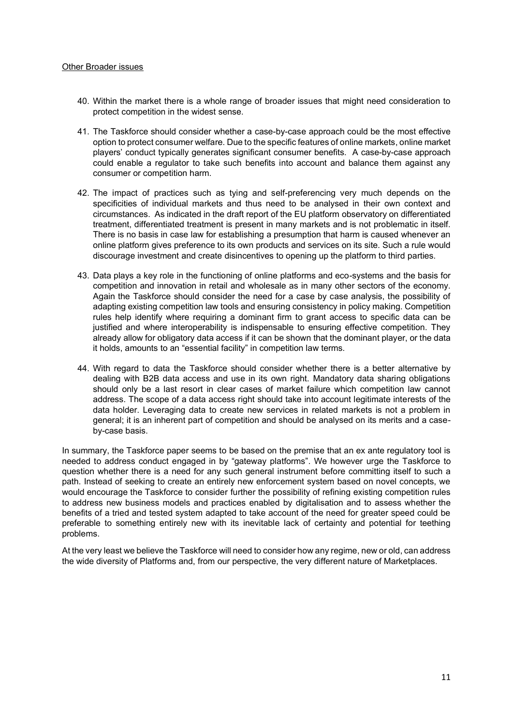#### Other Broader issues

- 40. Within the market there is a whole range of broader issues that might need consideration to protect competition in the widest sense.
- 41. The Taskforce should consider whether a case-by-case approach could be the most effective option to protect consumer welfare. Due to the specific features of online markets, online market players' conduct typically generates significant consumer benefits. A case-by-case approach could enable a regulator to take such benefits into account and balance them against any consumer or competition harm.
- 42. The impact of practices such as tying and self-preferencing very much depends on the specificities of individual markets and thus need to be analysed in their own context and circumstances. As indicated in the draft report of the EU platform observatory on differentiated treatment, differentiated treatment is present in many markets and is not problematic in itself. There is no basis in case law for establishing a presumption that harm is caused whenever an online platform gives preference to its own products and services on its site. Such a rule would discourage investment and create disincentives to opening up the platform to third parties.
- 43. Data plays a key role in the functioning of online platforms and eco-systems and the basis for competition and innovation in retail and wholesale as in many other sectors of the economy. Again the Taskforce should consider the need for a case by case analysis, the possibility of adapting existing competition law tools and ensuring consistency in policy making. Competition rules help identify where requiring a dominant firm to grant access to specific data can be justified and where interoperability is indispensable to ensuring effective competition. They already allow for obligatory data access if it can be shown that the dominant player, or the data it holds, amounts to an "essential facility" in competition law terms.
- 44. With regard to data the Taskforce should consider whether there is a better alternative by dealing with B2B data access and use in its own right. Mandatory data sharing obligations should only be a last resort in clear cases of market failure which competition law cannot address. The scope of a data access right should take into account legitimate interests of the data holder. Leveraging data to create new services in related markets is not a problem in general; it is an inherent part of competition and should be analysed on its merits and a caseby-case basis.

In summary, the Taskforce paper seems to be based on the premise that an ex ante regulatory tool is needed to address conduct engaged in by "gateway platforms". We however urge the Taskforce to question whether there is a need for any such general instrument before committing itself to such a path. Instead of seeking to create an entirely new enforcement system based on novel concepts, we would encourage the Taskforce to consider further the possibility of refining existing competition rules to address new business models and practices enabled by digitalisation and to assess whether the benefits of a tried and tested system adapted to take account of the need for greater speed could be preferable to something entirely new with its inevitable lack of certainty and potential for teething problems.

At the very least we believe the Taskforce will need to consider how any regime, new or old, can address the wide diversity of Platforms and, from our perspective, the very different nature of Marketplaces.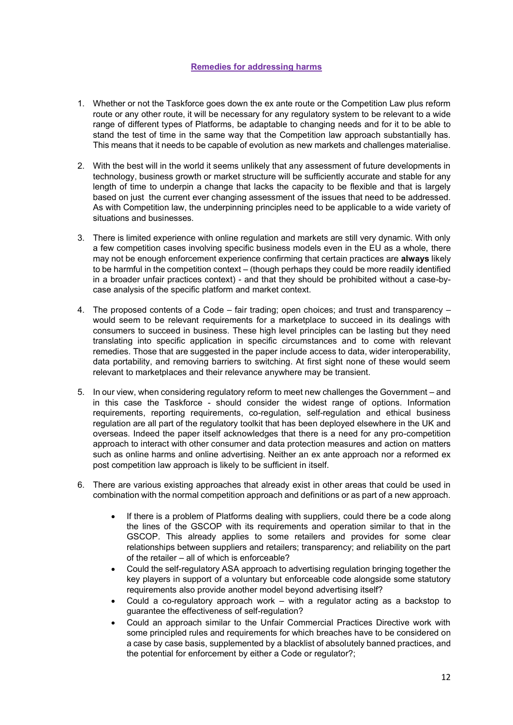## **Remedies for addressing harms**

- 1. Whether or not the Taskforce goes down the ex ante route or the Competition Law plus reform route or any other route, it will be necessary for any regulatory system to be relevant to a wide range of different types of Platforms, be adaptable to changing needs and for it to be able to stand the test of time in the same way that the Competition law approach substantially has. This means that it needs to be capable of evolution as new markets and challenges materialise.
- 2. With the best will in the world it seems unlikely that any assessment of future developments in technology, business growth or market structure will be sufficiently accurate and stable for any length of time to underpin a change that lacks the capacity to be flexible and that is largely based on just the current ever changing assessment of the issues that need to be addressed. As with Competition law, the underpinning principles need to be applicable to a wide variety of situations and businesses.
- 3. There is limited experience with online regulation and markets are still very dynamic. With only a few competition cases involving specific business models even in the EU as a whole, there may not be enough enforcement experience confirming that certain practices are **always** likely to be harmful in the competition context – (though perhaps they could be more readily identified in a broader unfair practices context) - and that they should be prohibited without a case-bycase analysis of the specific platform and market context.
- 4. The proposed contents of a Code fair trading; open choices; and trust and transparency would seem to be relevant requirements for a marketplace to succeed in its dealings with consumers to succeed in business. These high level principles can be lasting but they need translating into specific application in specific circumstances and to come with relevant remedies. Those that are suggested in the paper include access to data, wider interoperability, data portability, and removing barriers to switching. At first sight none of these would seem relevant to marketplaces and their relevance anywhere may be transient.
- 5. In our view, when considering regulatory reform to meet new challenges the Government and in this case the Taskforce - should consider the widest range of options. Information requirements, reporting requirements, co-regulation, self-regulation and ethical business regulation are all part of the regulatory toolkit that has been deployed elsewhere in the UK and overseas. Indeed the paper itself acknowledges that there is a need for any pro-competition approach to interact with other consumer and data protection measures and action on matters such as online harms and online advertising. Neither an ex ante approach nor a reformed ex post competition law approach is likely to be sufficient in itself.
- 6. There are various existing approaches that already exist in other areas that could be used in combination with the normal competition approach and definitions or as part of a new approach.
	- If there is a problem of Platforms dealing with suppliers, could there be a code along the lines of the GSCOP with its requirements and operation similar to that in the GSCOP. This already applies to some retailers and provides for some clear relationships between suppliers and retailers; transparency; and reliability on the part of the retailer – all of which is enforceable?
	- Could the self-regulatory ASA approach to advertising regulation bringing together the key players in support of a voluntary but enforceable code alongside some statutory requirements also provide another model beyond advertising itself?
	- Could a co-regulatory approach work with a regulator acting as a backstop to guarantee the effectiveness of self-regulation?
	- Could an approach similar to the Unfair Commercial Practices Directive work with some principled rules and requirements for which breaches have to be considered on a case by case basis, supplemented by a blacklist of absolutely banned practices, and the potential for enforcement by either a Code or regulator?;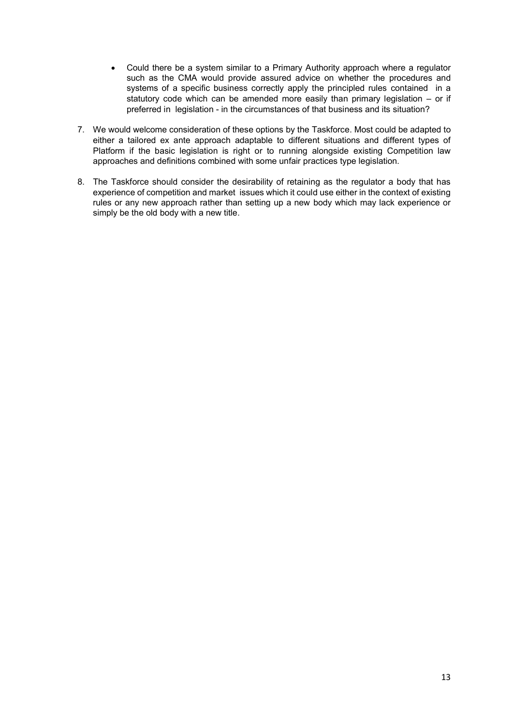- Could there be a system similar to a Primary Authority approach where a regulator such as the CMA would provide assured advice on whether the procedures and systems of a specific business correctly apply the principled rules contained in a statutory code which can be amended more easily than primary legislation – or if preferred in legislation - in the circumstances of that business and its situation?
- 7. We would welcome consideration of these options by the Taskforce. Most could be adapted to either a tailored ex ante approach adaptable to different situations and different types of Platform if the basic legislation is right or to running alongside existing Competition law approaches and definitions combined with some unfair practices type legislation.
- 8. The Taskforce should consider the desirability of retaining as the regulator a body that has experience of competition and market issues which it could use either in the context of existing rules or any new approach rather than setting up a new body which may lack experience or simply be the old body with a new title.